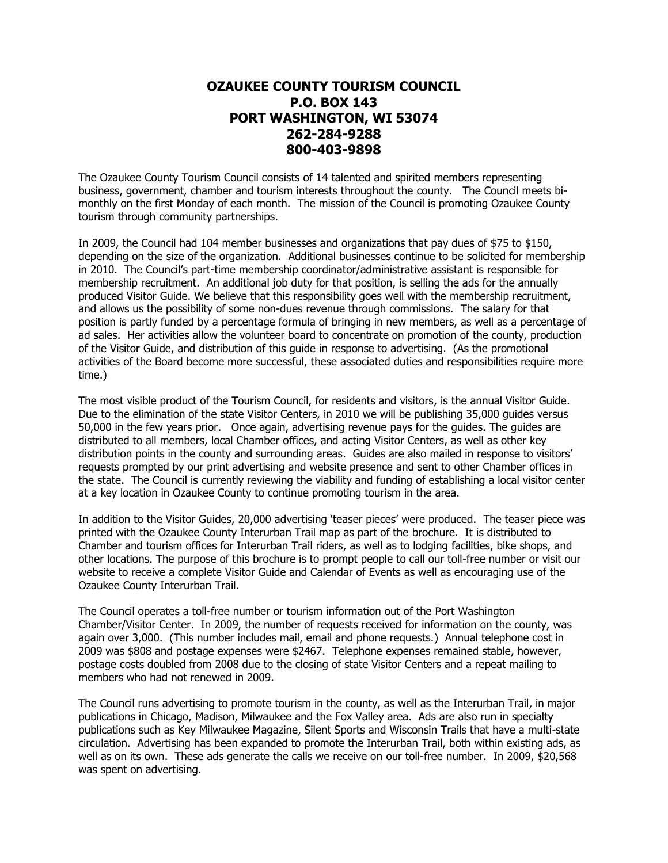## **OZAUKEE COUNTY TOURISM COUNCIL P.O. BOX 143 PORT WASHINGTON, WI 53074 262-284-9288 800-403-9898**

The Ozaukee County Tourism Council consists of 14 talented and spirited members representing business, government, chamber and tourism interests throughout the county. The Council meets bimonthly on the first Monday of each month. The mission of the Council is promoting Ozaukee County tourism through community partnerships.

In 2009, the Council had 104 member businesses and organizations that pay dues of \$75 to \$150, depending on the size of the organization. Additional businesses continue to be solicited for membership in 2010. The Council's part-time membership coordinator/administrative assistant is responsible for membership recruitment. An additional job duty for that position, is selling the ads for the annually produced Visitor Guide. We believe that this responsibility goes well with the membership recruitment, and allows us the possibility of some non-dues revenue through commissions. The salary for that position is partly funded by a percentage formula of bringing in new members, as well as a percentage of ad sales. Her activities allow the volunteer board to concentrate on promotion of the county, production of the Visitor Guide, and distribution of this guide in response to advertising. (As the promotional activities of the Board become more successful, these associated duties and responsibilities require more time.)

The most visible product of the Tourism Council, for residents and visitors, is the annual Visitor Guide. Due to the elimination of the state Visitor Centers, in 2010 we will be publishing 35,000 guides versus 50,000 in the few years prior. Once again, advertising revenue pays for the guides. The guides are distributed to all members, local Chamber offices, and acting Visitor Centers, as well as other key distribution points in the county and surrounding areas. Guides are also mailed in response to visitors' requests prompted by our print advertising and website presence and sent to other Chamber offices in the state. The Council is currently reviewing the viability and funding of establishing a local visitor center at a key location in Ozaukee County to continue promoting tourism in the area.

In addition to the Visitor Guides, 20,000 advertising 'teaser pieces' were produced. The teaser piece was printed with the Ozaukee County Interurban Trail map as part of the brochure. It is distributed to Chamber and tourism offices for Interurban Trail riders, as well as to lodging facilities, bike shops, and other locations. The purpose of this brochure is to prompt people to call our toll-free number or visit our website to receive a complete Visitor Guide and Calendar of Events as well as encouraging use of the Ozaukee County Interurban Trail.

The Council operates a toll-free number or tourism information out of the Port Washington Chamber/Visitor Center. In 2009, the number of requests received for information on the county, was again over 3,000. (This number includes mail, email and phone requests.) Annual telephone cost in 2009 was \$808 and postage expenses were \$2467. Telephone expenses remained stable, however, postage costs doubled from 2008 due to the closing of state Visitor Centers and a repeat mailing to members who had not renewed in 2009.

The Council runs advertising to promote tourism in the county, as well as the Interurban Trail, in major publications in Chicago, Madison, Milwaukee and the Fox Valley area. Ads are also run in specialty publications such as Key Milwaukee Magazine, Silent Sports and Wisconsin Trails that have a multi-state circulation. Advertising has been expanded to promote the Interurban Trail, both within existing ads, as well as on its own. These ads generate the calls we receive on our toll-free number. In 2009, \$20,568 was spent on advertising.